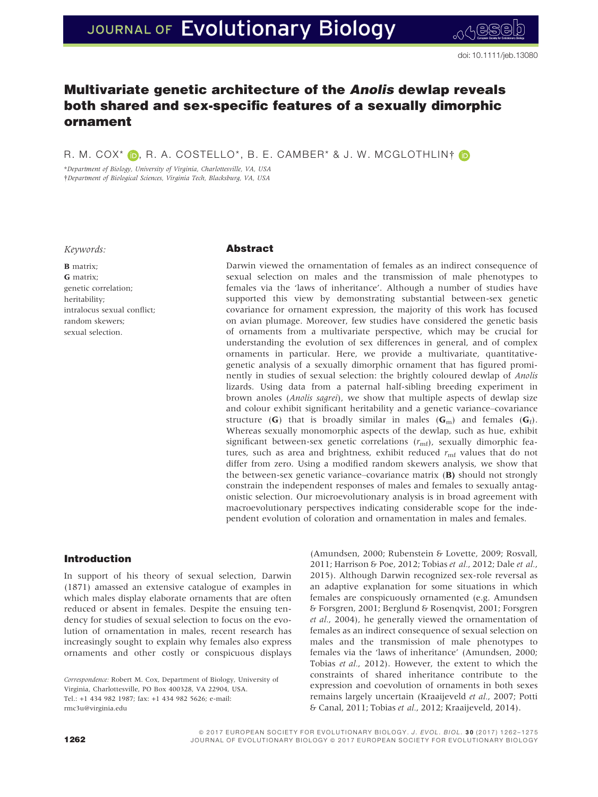# Multivariate genetic architecture of the Anolis dewlap reveals both shared and sex-specific features of a sexually dimorphic ornament

R. M. COX<sup>\*</sup> (D, R. A. COSTELLO<sup>\*</sup>, B. E. CAMBER<sup>\*</sup> & J. W. MCGLOTHLIN† (D

\*Department of Biology, University of Virginia, Charlottesville, VA, USA †Department of Biological Sciences, Virginia Tech, Blacksburg, VA, USA

Keywords:

**B** matrix; G matrix; genetic correlation; heritability; intralocus sexual conflict; random skewers; sexual selection.

# Abstract

Darwin viewed the ornamentation of females as an indirect consequence of sexual selection on males and the transmission of male phenotypes to females via the 'laws of inheritance'. Although a number of studies have supported this view by demonstrating substantial between-sex genetic covariance for ornament expression, the majority of this work has focused on avian plumage. Moreover, few studies have considered the genetic basis of ornaments from a multivariate perspective, which may be crucial for understanding the evolution of sex differences in general, and of complex ornaments in particular. Here, we provide a multivariate, quantitativegenetic analysis of a sexually dimorphic ornament that has figured prominently in studies of sexual selection: the brightly coloured dewlap of Anolis lizards. Using data from a paternal half-sibling breeding experiment in brown anoles (Anolis sagrei), we show that multiple aspects of dewlap size and colour exhibit significant heritability and a genetic variance–covariance structure (G) that is broadly similar in males (G<sub>m</sub>) and females (G<sub>f</sub>). Whereas sexually monomorphic aspects of the dewlap, such as hue, exhibit significant between-sex genetic correlations  $(r_{\text{mf}})$ , sexually dimorphic features, such as area and brightness, exhibit reduced  $r_{\rm mf}$  values that do not differ from zero. Using a modified random skewers analysis, we show that the between-sex genetic variance–covariance matrix (B) should not strongly constrain the independent responses of males and females to sexually antagonistic selection. Our microevolutionary analysis is in broad agreement with macroevolutionary perspectives indicating considerable scope for the independent evolution of coloration and ornamentation in males and females.

# Introduction

In support of his theory of sexual selection, Darwin (1871) amassed an extensive catalogue of examples in which males display elaborate ornaments that are often reduced or absent in females. Despite the ensuing tendency for studies of sexual selection to focus on the evolution of ornamentation in males, recent research has increasingly sought to explain why females also express ornaments and other costly or conspicuous displays

Correspondence: Robert M. Cox, Department of Biology, University of Virginia, Charlottesville, PO Box 400328, VA 22904, USA. Tel.: +1 434 982 1987; fax: +1 434 982 5626; e-mail: rmc3u@virginia.edu

(Amundsen, 2000; Rubenstein & Lovette, 2009; Rosvall, 2011; Harrison & Poe, 2012; Tobias et al., 2012; Dale et al., 2015). Although Darwin recognized sex-role reversal as an adaptive explanation for some situations in which females are conspicuously ornamented (e.g. Amundsen & Forsgren, 2001; Berglund & Rosenqvist, 2001; Forsgren et al., 2004), he generally viewed the ornamentation of females as an indirect consequence of sexual selection on males and the transmission of male phenotypes to females via the 'laws of inheritance' (Amundsen, 2000; Tobias et al., 2012). However, the extent to which the constraints of shared inheritance contribute to the expression and coevolution of ornaments in both sexes remains largely uncertain (Kraaijeveld et al., 2007; Potti & Canal, 2011; Tobias et al., 2012; Kraaijeveld, 2014).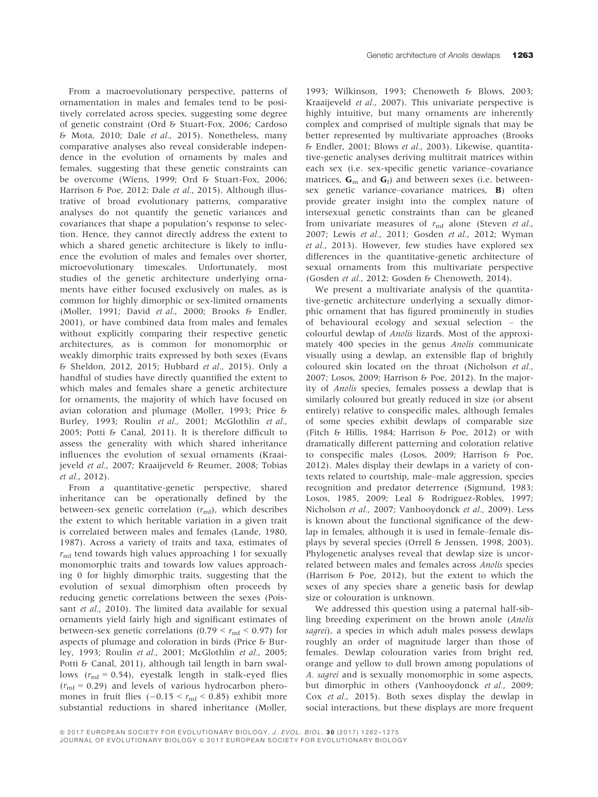From a macroevolutionary perspective, patterns of ornamentation in males and females tend to be positively correlated across species, suggesting some degree of genetic constraint (Ord & Stuart-Fox, 2006; Cardoso & Mota, 2010; Dale et al., 2015). Nonetheless, many comparative analyses also reveal considerable independence in the evolution of ornaments by males and females, suggesting that these genetic constraints can be overcome (Wiens, 1999; Ord & Stuart-Fox, 2006; Harrison & Poe, 2012; Dale et al., 2015). Although illustrative of broad evolutionary patterns, comparative analyses do not quantify the genetic variances and covariances that shape a population's response to selection. Hence, they cannot directly address the extent to which a shared genetic architecture is likely to influence the evolution of males and females over shorter, microevolutionary timescales. Unfortunately, most studies of the genetic architecture underlying ornaments have either focused exclusively on males, as is common for highly dimorphic or sex-limited ornaments (Moller, 1991; David et al., 2000; Brooks & Endler, 2001), or have combined data from males and females without explicitly comparing their respective genetic architectures, as is common for monomorphic or weakly dimorphic traits expressed by both sexes (Evans & Sheldon, 2012, 2015; Hubbard et al., 2015). Only a handful of studies have directly quantified the extent to which males and females share a genetic architecture for ornaments, the majority of which have focused on avian coloration and plumage (Moller, 1993; Price & Burley, 1993; Roulin et al., 2001; McGlothlin et al., 2005; Potti & Canal, 2011). It is therefore difficult to assess the generality with which shared inheritance influences the evolution of sexual ornaments (Kraaijeveld et al., 2007; Kraaijeveld & Reumer, 2008; Tobias et al., 2012).

From a quantitative-genetic perspective, shared inheritance can be operationally defined by the between-sex genetic correlation  $(r_{\text{mf}})$ , which describes the extent to which heritable variation in a given trait is correlated between males and females (Lande, 1980, 1987). Across a variety of traits and taxa, estimates of  $r<sub>mf</sub>$  tend towards high values approaching 1 for sexually monomorphic traits and towards low values approaching 0 for highly dimorphic traits, suggesting that the evolution of sexual dimorphism often proceeds by reducing genetic correlations between the sexes (Poissant et al., 2010). The limited data available for sexual ornaments yield fairly high and significant estimates of between-sex genetic correlations (0.79  $< r<sub>mf</sub> < 0.97$ ) for aspects of plumage and coloration in birds (Price & Burley, 1993; Roulin et al., 2001; McGlothlin et al., 2005; Potti & Canal, 2011), although tail length in barn swallows  $(r_{\rm mf} = 0.54)$ , eyestalk length in stalk-eyed flies  $(r_{\rm mf} = 0.29)$  and levels of various hydrocarbon pheromones in fruit flies  $(-0.15 \le r_{\rm mf} \le 0.85)$  exhibit more substantial reductions in shared inheritance (Moller,

1993; Wilkinson, 1993; Chenoweth & Blows, 2003; Kraaijeveld et al., 2007). This univariate perspective is highly intuitive, but many ornaments are inherently complex and comprised of multiple signals that may be better represented by multivariate approaches (Brooks & Endler, 2001; Blows et al., 2003). Likewise, quantitative-genetic analyses deriving multitrait matrices within each sex (i.e. sex-specific genetic variance–covariance matrices,  $G_m$  and  $G_f$ ) and between sexes (i.e. betweensex genetic variance–covariance matrices, B) often provide greater insight into the complex nature of intersexual genetic constraints than can be gleaned from univariate measures of  $r_{\rm mf}$  alone (Steven et al., 2007; Lewis et al., 2011; Gosden et al., 2012; Wyman et al., 2013). However, few studies have explored sex differences in the quantitative-genetic architecture of sexual ornaments from this multivariate perspective (Gosden et al., 2012; Gosden & Chenoweth, 2014).

We present a multivariate analysis of the quantitative-genetic architecture underlying a sexually dimorphic ornament that has figured prominently in studies of behavioural ecology and sexual selection – the colourful dewlap of Anolis lizards. Most of the approximately 400 species in the genus Anolis communicate visually using a dewlap, an extensible flap of brightly coloured skin located on the throat (Nicholson et al., 2007; Losos, 2009; Harrison & Poe, 2012). In the majority of Anolis species, females possess a dewlap that is similarly coloured but greatly reduced in size (or absent entirely) relative to conspecific males, although females of some species exhibit dewlaps of comparable size (Fitch & Hillis, 1984; Harrison & Poe, 2012) or with dramatically different patterning and coloration relative to conspecific males (Losos, 2009; Harrison & Poe, 2012). Males display their dewlaps in a variety of contexts related to courtship, male–male aggression, species recognition and predator deterrence (Sigmund, 1983; Losos, 1985, 2009; Leal & Rodriguez-Robles, 1997; Nicholson et al., 2007; Vanhooydonck et al., 2009). Less is known about the functional significance of the dewlap in females, although it is used in female–female displays by several species (Orrell & Jenssen, 1998, 2003). Phylogenetic analyses reveal that dewlap size is uncorrelated between males and females across Anolis species (Harrison & Poe, 2012), but the extent to which the sexes of any species share a genetic basis for dewlap size or colouration is unknown.

We addressed this question using a paternal half-sibling breeding experiment on the brown anole (Anolis sagrei), a species in which adult males possess dewlaps roughly an order of magnitude larger than those of females. Dewlap colouration varies from bright red, orange and yellow to dull brown among populations of A. sagrei and is sexually monomorphic in some aspects, but dimorphic in others (Vanhooydonck et al., 2009; Cox et al., 2015). Both sexes display the dewlap in social interactions, but these displays are more frequent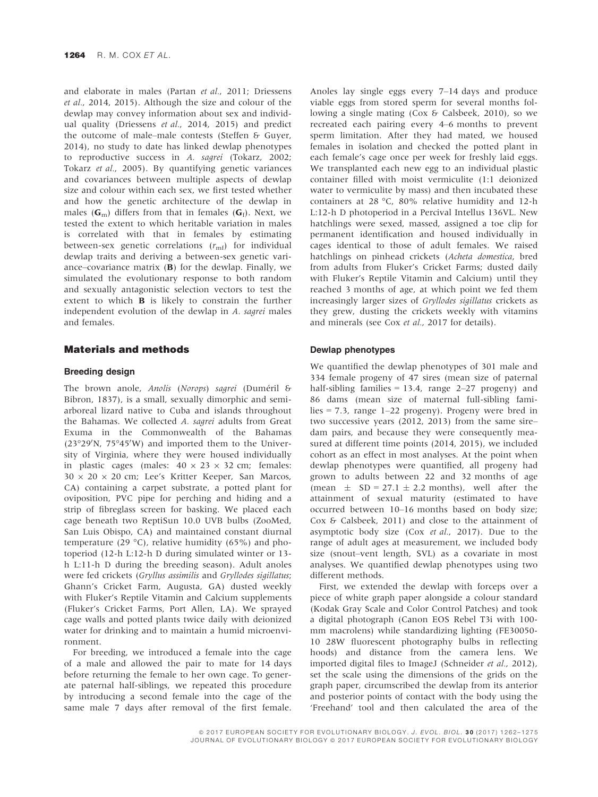and elaborate in males (Partan et al., 2011; Driessens et al., 2014, 2015). Although the size and colour of the dewlap may convey information about sex and individual quality (Driessens et al., 2014, 2015) and predict the outcome of male–male contests (Steffen & Guyer, 2014), no study to date has linked dewlap phenotypes to reproductive success in A. sagrei (Tokarz, 2002; Tokarz et al., 2005). By quantifying genetic variances and covariances between multiple aspects of dewlap size and colour within each sex, we first tested whether and how the genetic architecture of the dewlap in males ( $G<sub>m</sub>$ ) differs from that in females ( $G<sub>f</sub>$ ). Next, we tested the extent to which heritable variation in males is correlated with that in females by estimating between-sex genetic correlations  $(r_{\rm mf})$  for individual dewlap traits and deriving a between-sex genetic variance–covariance matrix  $(B)$  for the dewlap. Finally, we simulated the evolutionary response to both random and sexually antagonistic selection vectors to test the extent to which B is likely to constrain the further independent evolution of the dewlap in A. sagrei males and females.

## Materials and methods

## Breeding design

The brown anole, Anolis (Norops) sagrei (Duméril & Bibron, 1837), is a small, sexually dimorphic and semiarboreal lizard native to Cuba and islands throughout the Bahamas. We collected A. sagrei adults from Great Exuma in the Commonwealth of the Bahamas  $(23°29'N, 75°45'W)$  and imported them to the University of Virginia, where they were housed individually in plastic cages (males:  $40 \times 23 \times 32$  cm; females:  $30 \times 20 \times 20$  cm; Lee's Kritter Keeper, San Marcos, CA) containing a carpet substrate, a potted plant for oviposition, PVC pipe for perching and hiding and a strip of fibreglass screen for basking. We placed each cage beneath two ReptiSun 10.0 UVB bulbs (ZooMed, San Luis Obispo, CA) and maintained constant diurnal temperature (29 °C), relative humidity (65%) and photoperiod (12-h L:12-h D during simulated winter or 13 h L:11-h D during the breeding season). Adult anoles were fed crickets (Gryllus assimilis and Gryllodes sigillatus; Ghann's Cricket Farm, Augusta, GA) dusted weekly with Fluker's Reptile Vitamin and Calcium supplements (Fluker's Cricket Farms, Port Allen, LA). We sprayed cage walls and potted plants twice daily with deionized water for drinking and to maintain a humid microenvironment.

For breeding, we introduced a female into the cage of a male and allowed the pair to mate for 14 days before returning the female to her own cage. To generate paternal half-siblings, we repeated this procedure by introducing a second female into the cage of the same male 7 days after removal of the first female.

Anoles lay single eggs every 7–14 days and produce viable eggs from stored sperm for several months following a single mating (Cox & Calsbeek, 2010), so we recreated each pairing every 4–6 months to prevent sperm limitation. After they had mated, we housed females in isolation and checked the potted plant in each female's cage once per week for freshly laid eggs. We transplanted each new egg to an individual plastic container filled with moist vermiculite (1:1 deionized water to vermiculite by mass) and then incubated these containers at 28 °C, 80% relative humidity and 12-h L:12-h D photoperiod in a Percival Intellus 136VL. New hatchlings were sexed, massed, assigned a toe clip for permanent identification and housed individually in cages identical to those of adult females. We raised hatchlings on pinhead crickets (Acheta domestica, bred from adults from Fluker's Cricket Farms; dusted daily with Fluker's Reptile Vitamin and Calcium) until they reached 3 months of age, at which point we fed them increasingly larger sizes of Gryllodes sigillatus crickets as they grew, dusting the crickets weekly with vitamins and minerals (see Cox et al., 2017 for details).

#### Dewlap phenotypes

We quantified the dewlap phenotypes of 301 male and 334 female progeny of 47 sires (mean size of paternal half-sibling families  $= 13.4$ , range 2-27 progeny) and 86 dams (mean size of maternal full-sibling families = 7.3, range  $1-22$  progeny). Progeny were bred in two successive years (2012, 2013) from the same sire– dam pairs, and because they were consequently measured at different time points (2014, 2015), we included cohort as an effect in most analyses. At the point when dewlap phenotypes were quantified, all progeny had grown to adults between 22 and 32 months of age (mean  $\pm$  SD = 27.1  $\pm$  2.2 months), well after the attainment of sexual maturity (estimated to have occurred between 10–16 months based on body size; Cox & Calsbeek, 2011) and close to the attainment of asymptotic body size (Cox et al., 2017). Due to the range of adult ages at measurement, we included body size (snout–vent length, SVL) as a covariate in most analyses. We quantified dewlap phenotypes using two different methods.

First, we extended the dewlap with forceps over a piece of white graph paper alongside a colour standard (Kodak Gray Scale and Color Control Patches) and took a digital photograph (Canon EOS Rebel T3i with 100 mm macrolens) while standardizing lighting (FE30050- 10 28W fluorescent photography bulbs in reflecting hoods) and distance from the camera lens. We imported digital files to ImageJ (Schneider et al., 2012), set the scale using the dimensions of the grids on the graph paper, circumscribed the dewlap from its anterior and posterior points of contact with the body using the 'Freehand' tool and then calculated the area of the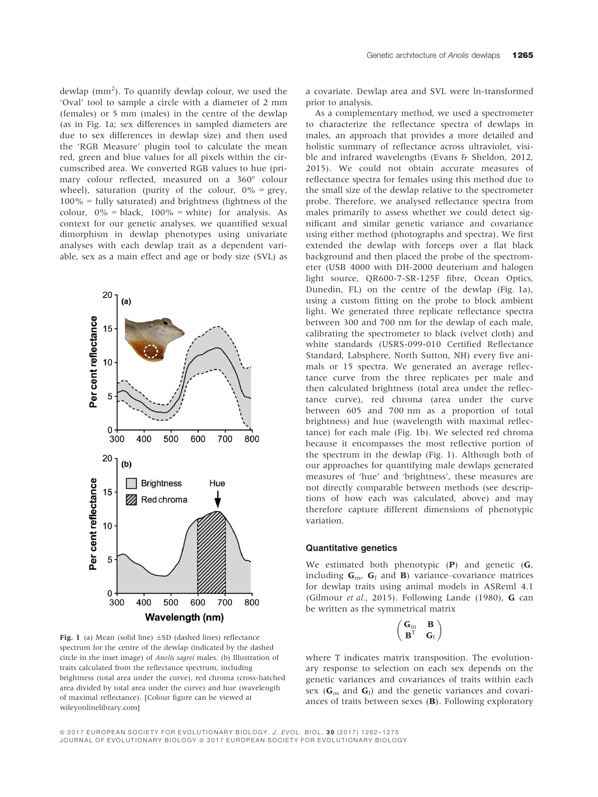dewlap  $(mm<sup>2</sup>)$ . To quantify dewlap colour, we used the 'Oval' tool to sample a circle with a diameter of 2 mm (females) or 5 mm (males) in the centre of the dewlap (as in Fig. 1a; sex differences in sampled diameters are due to sex differences in dewlap size) and then used the 'RGB Measure' plugin tool to calculate the mean red, green and blue values for all pixels within the circumscribed area. We converted RGB values to hue (primary colour reflected, measured on a 360° colour wheel), saturation (purity of the colour,  $0\%$  = grey,  $100\%$  = fully saturated) and brightness (lightness of the colour,  $0\%$  = black,  $100\%$  = white) for analysis. As context for our genetic analyses, we quantified sexual dimorphism in dewlap phenotypes using univariate analyses with each dewlap trait as a dependent variable, sex as a main effect and age or body size (SVL) as



Fig. 1 (a) Mean (solid line)  $\pm$ SD (dashed lines) reflectance spectrum for the centre of the dewlap (indicated by the dashed circle in the inset image) of Anolis sagrei males. (b) Illustration of traits calculated from the reflectance spectrum, including brightness (total area under the curve), red chroma (cross-hatched area divided by total area under the curve) and hue (wavelength of maximal reflectance). [Colour figure can be viewed at wileyonlinelibrary.com]

a covariate. Dewlap area and SVL were ln-transformed prior to analysis.

As a complementary method, we used a spectrometer to characterize the reflectance spectra of dewlaps in males, an approach that provides a more detailed and holistic summary of reflectance across ultraviolet, visible and infrared wavelengths (Evans & Sheldon, 2012, 2015). We could not obtain accurate measures of reflectance spectra for females using this method due to the small size of the dewlap relative to the spectrometer probe. Therefore, we analysed reflectance spectra from males primarily to assess whether we could detect significant and similar genetic variance and covariance using either method (photographs and spectra). We first extended the dewlap with forceps over a flat black background and then placed the probe of the spectrometer (USB 4000 with DH-2000 deuterium and halogen light source, QR600-7-SR-125F fibre, Ocean Optics, Dunedin, FL) on the centre of the dewlap (Fig. 1a), using a custom fitting on the probe to block ambient light. We generated three replicate reflectance spectra between 300 and 700 nm for the dewlap of each male, calibrating the spectrometer to black (velvet cloth) and white standards (USRS-099-010 Certified Reflectance Standard, Labsphere, North Sutton, NH) every five animals or 15 spectra. We generated an average reflectance curve from the three replicates per male and then calculated brightness (total area under the reflectance curve), red chroma (area under the curve between 605 and 700 nm as a proportion of total brightness) and hue (wavelength with maximal reflectance) for each male (Fig. 1b). We selected red chroma because it encompasses the most reflective portion of the spectrum in the dewlap (Fig. 1). Although both of our approaches for quantifying male dewlaps generated measures of 'hue' and 'brightness', these measures are not directly comparable between methods (see descriptions of how each was calculated, above) and may therefore capture different dimensions of phenotypic variation.

## Quantitative genetics

We estimated both phenotypic (P) and genetic (G, including  $G_{m}$ ,  $G_f$  and **B**) variance–covariance matrices for dewlap traits using animal models in ASReml 4.1 (Gilmour et al., 2015). Following Lande (1980), G can be written as the symmetrical matrix

$$
\begin{pmatrix} \mathbf{G}_m & \mathbf{B} \\ \mathbf{B}^T & \mathbf{G}_f \end{pmatrix}
$$

where T indicates matrix transposition. The evolutionary response to selection on each sex depends on the genetic variances and covariances of traits within each sex ( $G<sub>m</sub>$  and  $G<sub>f</sub>$ ) and the genetic variances and covariances of traits between sexes (B). Following exploratory

© 2017 EUROPEAN SOCIETY FOR EVOLUTIONARY BIOLOGY. J. EVOL. BIOL. 30 (2017) 1262-1275 JOURNAL OF EVOLUTIONARY BIOLOGY @ 2017 EUROPEAN SOCIETY FOR EVOLUTIONARY BIOLOGY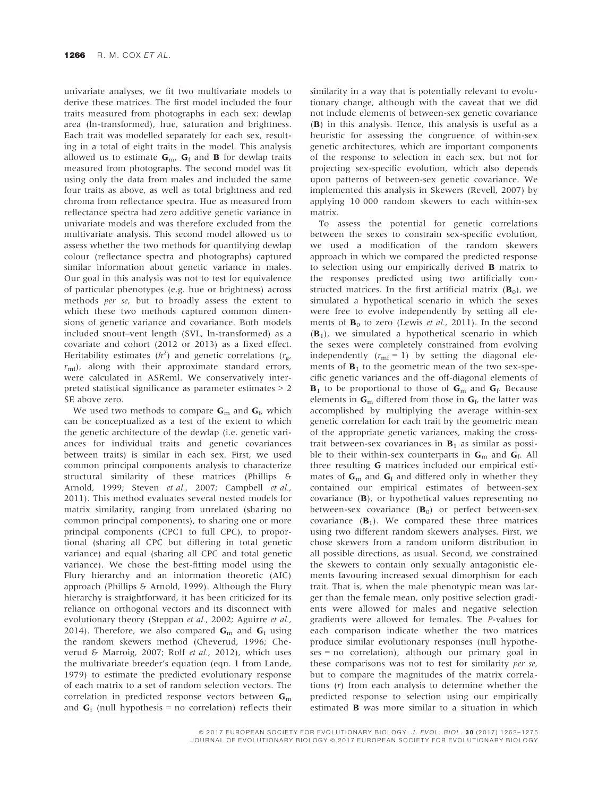univariate analyses, we fit two multivariate models to derive these matrices. The first model included the four traits measured from photographs in each sex: dewlap area (ln-transformed), hue, saturation and brightness. Each trait was modelled separately for each sex, resulting in a total of eight traits in the model. This analysis allowed us to estimate  $G_m$ ,  $G_f$  and **B** for dewlap traits measured from photographs. The second model was fit using only the data from males and included the same four traits as above, as well as total brightness and red chroma from reflectance spectra. Hue as measured from reflectance spectra had zero additive genetic variance in univariate models and was therefore excluded from the multivariate analysis. This second model allowed us to assess whether the two methods for quantifying dewlap colour (reflectance spectra and photographs) captured similar information about genetic variance in males. Our goal in this analysis was not to test for equivalence of particular phenotypes (e.g. hue or brightness) across methods per se, but to broadly assess the extent to which these two methods captured common dimensions of genetic variance and covariance. Both models included snout–vent length (SVL, ln-transformed) as a covariate and cohort (2012 or 2013) as a fixed effect. Heritability estimates ( $h^2$ ) and genetic correlations ( $r_g$ ,  $r<sub>mf</sub>$ ), along with their approximate standard errors, were calculated in ASReml. We conservatively interpreted statistical significance as parameter estimates > 2 SE above zero.

We used two methods to compare  $G<sub>m</sub>$  and  $G<sub>f</sub>$ , which can be conceptualized as a test of the extent to which the genetic architecture of the dewlap (i.e. genetic variances for individual traits and genetic covariances between traits) is similar in each sex. First, we used common principal components analysis to characterize structural similarity of these matrices (Phillips & Arnold, 1999; Steven et al., 2007; Campbell et al., 2011). This method evaluates several nested models for matrix similarity, ranging from unrelated (sharing no common principal components), to sharing one or more principal components (CPC1 to full CPC), to proportional (sharing all CPC but differing in total genetic variance) and equal (sharing all CPC and total genetic variance). We chose the best-fitting model using the Flury hierarchy and an information theoretic (AIC) approach (Phillips & Arnold, 1999). Although the Flury hierarchy is straightforward, it has been criticized for its reliance on orthogonal vectors and its disconnect with evolutionary theory (Steppan et al., 2002; Aguirre et al., 2014). Therefore, we also compared  $G<sub>m</sub>$  and  $G<sub>f</sub>$  using the random skewers method (Cheverud, 1996; Cheverud & Marroig, 2007; Roff et al., 2012), which uses the multivariate breeder's equation (eqn. 1 from Lande, 1979) to estimate the predicted evolutionary response of each matrix to a set of random selection vectors. The correlation in predicted response vectors between  $G<sub>m</sub>$ and  $G_f$  (null hypothesis = no correlation) reflects their

similarity in a way that is potentially relevant to evolutionary change, although with the caveat that we did not include elements of between-sex genetic covariance (B) in this analysis. Hence, this analysis is useful as a heuristic for assessing the congruence of within-sex genetic architectures, which are important components of the response to selection in each sex, but not for projecting sex-specific evolution, which also depends upon patterns of between-sex genetic covariance. We implemented this analysis in Skewers (Revell, 2007) by applying 10 000 random skewers to each within-sex matrix.

To assess the potential for genetic correlations between the sexes to constrain sex-specific evolution, we used a modification of the random skewers approach in which we compared the predicted response to selection using our empirically derived B matrix to the responses predicted using two artificially constructed matrices. In the first artificial matrix  $(B_0)$ , we simulated a hypothetical scenario in which the sexes were free to evolve independently by setting all elements of  $\mathbf{B}_0$  to zero (Lewis et al., 2011). In the second  $(\mathbf{B}_1)$ , we simulated a hypothetical scenario in which the sexes were completely constrained from evolving independently  $(r_{\rm mf} = 1)$  by setting the diagonal elements of  $\mathbf{B}_1$  to the geometric mean of the two sex-specific genetic variances and the off-diagonal elements of  $B_1$  to be proportional to those of  $G_m$  and  $G_f$ . Because elements in  $\mathbf{G}_m$  differed from those in  $\mathbf{G}_f$ , the latter was accomplished by multiplying the average within-sex genetic correlation for each trait by the geometric mean of the appropriate genetic variances, making the crosstrait between-sex covariances in  $B_1$  as similar as possible to their within-sex counterparts in  $G<sub>m</sub>$  and  $G<sub>f</sub>$ . All three resulting G matrices included our empirical estimates of  $G<sub>m</sub>$  and  $G<sub>f</sub>$  and differed only in whether they contained our empirical estimates of between-sex covariance (B), or hypothetical values representing no between-sex covariance  $(B_0)$  or perfect between-sex covariance  $(\mathbf{B}_1)$ . We compared these three matrices using two different random skewers analyses. First, we chose skewers from a random uniform distribution in all possible directions, as usual. Second, we constrained the skewers to contain only sexually antagonistic elements favouring increased sexual dimorphism for each trait. That is, when the male phenotypic mean was larger than the female mean, only positive selection gradients were allowed for males and negative selection gradients were allowed for females. The P-values for each comparison indicate whether the two matrices produce similar evolutionary responses (null hypotheses = no correlation), although our primary goal in these comparisons was not to test for similarity per se, but to compare the magnitudes of the matrix correlations (r) from each analysis to determine whether the predicted response to selection using our empirically estimated B was more similar to a situation in which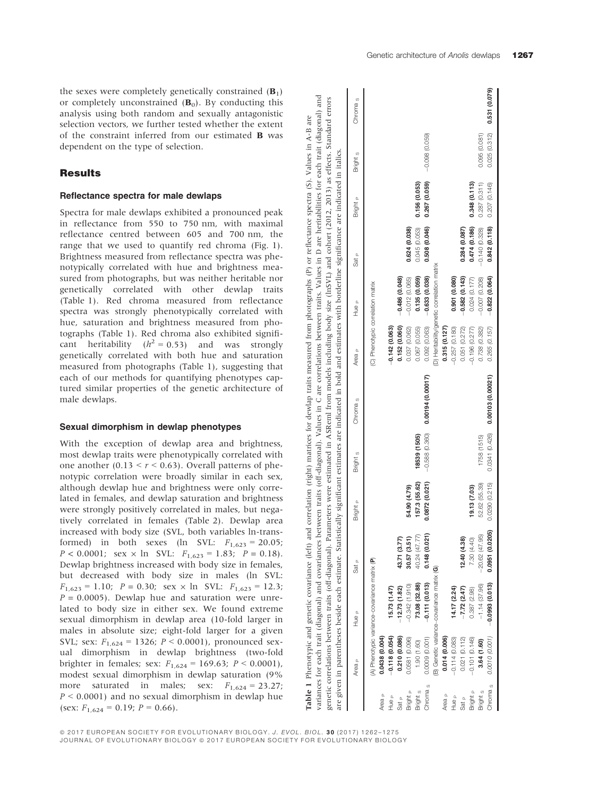the sexes were completely genetically constrained  $(B_1)$ or completely unconstrained  $(B_0)$ . By conducting this analysis using both random and sexually antagonistic selection vectors, we further tested whether the extent of the constraint inferred from our estimated B was dependent on the type of selection.

## **Results**

#### Reflectance spectra for male dewlaps

Spectra for male dewlaps exhibited a pronounced peak in reflectance from 550 to 750 nm, with maximal reflectance centred between 605 and 700 nm, the range that we used to quantify red chroma (Fig. 1). Brightness measured from reflectance spectra was phenotypically correlated with hue and brightness measured from photographs, but was neither heritable nor genetically correlated with other dewlap traits (Table 1). Red chroma measured from reflectance spectra was strongly phenotypically correlated with hue, saturation and brightness measured from photographs (Table 1). Red chroma also exhibited significant heritability  $(h^2 = 0.53)$  and was strongly genetically correlated with both hue and saturation measured from photographs (Table 1), suggesting that each of our methods for quantifying phenotypes captured similar properties of the genetic architecture of male dewlaps.

#### Sexual dimorphism in dewlap phenotypes

With the exception of dewlap area and brightness, most dewlap traits were phenotypically correlated with one another  $(0.13 \le r \le 0.63)$ . Overall patterns of phenotypic correlation were broadly similar in each sex, although dewlap hue and brightness were only correlated in females, and dewlap saturation and brightness were strongly positively correlated in males, but negatively correlated in females (Table 2). Dewlap area increased with body size (SVL, both variables ln-transformed) in both sexes (ln SVL:  $F_{1,623} = 20.05$ ;  $P < 0.0001$ ; sex  $\times$  ln SVL:  $F_{1,623} = 1.83$ ;  $P = 0.18$ ). Dewlap brightness increased with body size in females, but decreased with body size in males (ln SVL:  $F_{1,623} = 1.10$ ;  $P = 0.30$ ; sex  $\times$  ln SVL:  $F_{1,623} = 12.3$ ;  $P = 0.0005$ ). Dewlap hue and saturation were unrelated to body size in either sex. We found extreme sexual dimorphism in dewlap area (10-fold larger in males in absolute size; eight-fold larger for a given SVL; sex:  $F_{1,624} = 1326$ ;  $P < 0.0001$ ), pronounced sexual dimorphism in dewlap brightness (two-fold brighter in females; sex:  $F_{1,624} = 169.63$ ;  $P < 0.0001$ ), modest sexual dimorphism in dewlap saturation (9% more saturated in males; sex:  $F_{1,624} = 23.27$ ;  $P < 0.0001$ ) and no sexual dimorphism in dewlap hue (sex:  $F_{1,624} = 0.19$ ;  $P = 0.66$ ).

variances for each trait (diagonal) and covariances between traits (off-diagonal). Values in C are correlations between traits. Values in D are heritabilities for each trait (diagonal) and<br>genetic correlations between trai are heritabilities for each trait (diagonal) and variances for each trait (diagonal) and covariances between traits (off-diagonal). Values in C are correlations between traits. Values in D are heritabilities for each trait (diagonal) and genetic correlations between traits (off-diagonal). Parameters were estimated in ASReml from models including body size (lnSVL) and cohort (2012, 2013) as effects. Standard errors Table 1 Phenotypic and genetic covariance (left) and correlation (right) matrices for dewlap traits measured from photographs (P) or reflectance spectra (S). Values in A-B are Table 1 Phenotypic and genetic covariance (left) and correlation (right) matrices for dewlap traits measured from photographs (P) or reflectance spectra (S). Values in A-B are are given in parentheses beside each estimate. Statistically significant estimates are indicated in bold and estimates with borderline significance are indicated in italics.

| A) Phenotypic variance-covariance matrix (P)<br>B) Genetic variance-covariance matrix (G)<br>$-0.111(0.013)$<br>73.08 (32.88)<br>$-0.342$ (1.910)<br>$-12.73(1.82)$<br>15.73 (1.47)<br>14.17 (2.24)<br>0.0009 (0.001)<br>0.0438 (0.004)<br>0.118(0.054)<br>0.210 (0.086)<br>0.014 (0.006)<br>$-0.114(0.083)$<br>0.0581 (0.096)<br>1.90 (1.60)<br>Chroma <sub>s</sub><br>Bright <sub>s</sub><br>Bright <sub>P</sub><br>Area <sub>P</sub><br>Area <sub>P</sub><br>Hue <sub>P</sub><br>e ən<br>Sat <sub>P</sub> | 43.71 (3.77)<br>30.57(3.51) | Bright <sub>P</sub> | Bright <sub>s</sub> | Chroma <sub>s</sub>               | Area <sub>P</sub>                 | Hue <sub>P</sub>                            | Sat <sub>P</sub> | Bright <sub>P</sub> | Bright <sub>s</sub>          | Chroma <sub>s</sub> |
|--------------------------------------------------------------------------------------------------------------------------------------------------------------------------------------------------------------------------------------------------------------------------------------------------------------------------------------------------------------------------------------------------------------------------------------------------------------------------------------------------------------|-----------------------------|---------------------|---------------------|-----------------------------------|-----------------------------------|---------------------------------------------|------------------|---------------------|------------------------------|---------------------|
|                                                                                                                                                                                                                                                                                                                                                                                                                                                                                                              |                             |                     |                     |                                   | (C) Phenotypic correlation matrix |                                             |                  |                     |                              |                     |
|                                                                                                                                                                                                                                                                                                                                                                                                                                                                                                              |                             |                     |                     |                                   |                                   |                                             |                  |                     |                              |                     |
|                                                                                                                                                                                                                                                                                                                                                                                                                                                                                                              |                             |                     |                     |                                   | $-0.142(0.063)$                   |                                             |                  |                     |                              |                     |
|                                                                                                                                                                                                                                                                                                                                                                                                                                                                                                              |                             |                     |                     |                                   | 0.152 (0.060)                     | $-0.486(0.048)$                             |                  |                     |                              |                     |
|                                                                                                                                                                                                                                                                                                                                                                                                                                                                                                              |                             | 54.90 (4.79)        |                     |                                   | 0.037 (0.062)                     | $-0.012(0.065)$                             | 0.624 (0.038)    |                     |                              |                     |
|                                                                                                                                                                                                                                                                                                                                                                                                                                                                                                              | 40.24 (47.77)               | 157.3 (55.62)       | 18539 (1505)        |                                   | 0.067 (0.055)                     | 0.135 (0.059)                               | 0.045 (0.053)    | 0.156 (0.053)       |                              |                     |
|                                                                                                                                                                                                                                                                                                                                                                                                                                                                                                              | 0.148(0.021)                | 0.0872(0.021)       | $-0.588(0.360)$     | 0.00194 (0.00017)                 | 0.092 (0.063)                     | $-0.633(0.038)$                             | 0.508 (0.046)    | 0.267 (0.059)       | $-0.098(0.059)$              |                     |
|                                                                                                                                                                                                                                                                                                                                                                                                                                                                                                              |                             |                     |                     |                                   |                                   | (D) Heritability/genetic correlation matrix |                  |                     |                              |                     |
|                                                                                                                                                                                                                                                                                                                                                                                                                                                                                                              |                             |                     |                     |                                   | 0.315 (0.127)                     |                                             |                  |                     |                              |                     |
|                                                                                                                                                                                                                                                                                                                                                                                                                                                                                                              |                             |                     |                     |                                   | $-0.257(0.180)$                   | 0.901(0.080)                                |                  |                     |                              |                     |
| $-7.72(2.47)$<br>0.021(0.112)<br>Sat <sub>P</sub>                                                                                                                                                                                                                                                                                                                                                                                                                                                            | 12.40(4.38)                 |                     |                     |                                   | 0.051 (0.272)                     | $-0.582(0.143)$                             | 0.284(0.087)     |                     |                              |                     |
| 0.387 (2.98)<br>$-0.101(0.146)$<br>Bright <sub>P</sub>                                                                                                                                                                                                                                                                                                                                                                                                                                                       | 7.30 (4.40)                 | 19.13 (7.03)        |                     |                                   | $-0.196(0.277)$                   | 0.024(0.177)                                | 0.474 (0.186)    | 0.348 (0.113)       |                              |                     |
| $-1.14(37.96)$<br>3.64 (1.60)<br>Bright <sub>s</sub>                                                                                                                                                                                                                                                                                                                                                                                                                                                         | $-20.62(47.95)$             | 52.62 (55.39)       | 1758 (1515)         |                                   | 0.738 (0.382)                     | $-0.007$ $(0.208)$                          | $-0.140(0.328)$  | 0.287(0.311)        | 0.095 (0.081)                |                     |
| $-0.0993(0.013)$<br>0.0010 (0.001)<br>Chroma <sub>s</sub>                                                                                                                                                                                                                                                                                                                                                                                                                                                    | 0.0951(0.0205)              | 0.0290 (0.215)      |                     | $0.0341(0.426)$ 0.00103 (0.00021) | 0.265 (0.157)                     | $-0.822(0.064)$                             | 0.842(0.118)     | 0.207 (0.146)       | $0.025(0.312)$ 0.531 (0.079) |                     |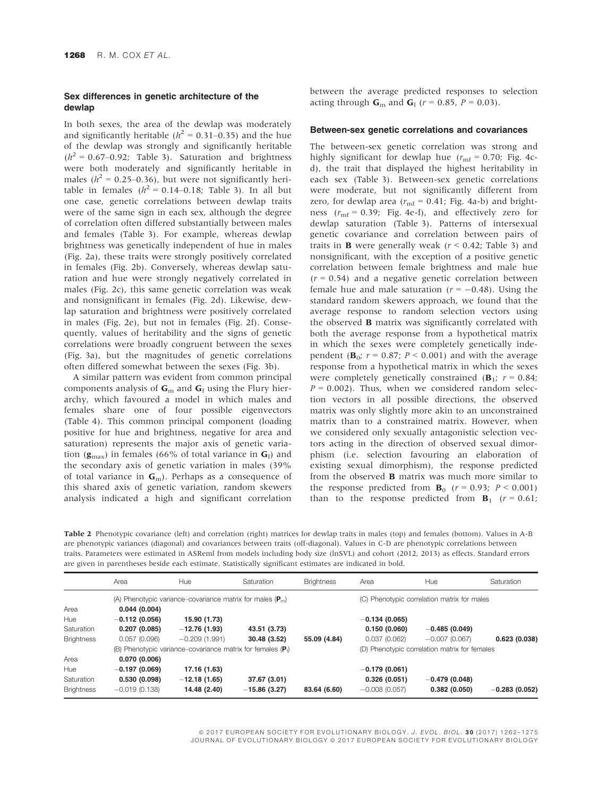## Sex differences in genetic architecture of the dewlap

In both sexes, the area of the dewlap was moderately and significantly heritable ( $h^2 = 0.31 - 0.35$ ) and the hue of the dewlap was strongly and significantly heritable  $(h^2 = 0.67-0.92;$  Table 3). Saturation and brightness were both moderately and significantly heritable in males ( $h^2$  = 0.25–0.36), but were not significantly heritable in females  $(h^2 = 0.14-0.18)$ ; Table 3). In all but one case, genetic correlations between dewlap traits were of the same sign in each sex, although the degree of correlation often differed substantially between males and females (Table 3). For example, whereas dewlap brightness was genetically independent of hue in males (Fig. 2a), these traits were strongly positively correlated in females (Fig. 2b). Conversely, whereas dewlap saturation and hue were strongly negatively correlated in males (Fig. 2c), this same genetic correlation was weak and nonsignificant in females (Fig. 2d). Likewise, dewlap saturation and brightness were positively correlated in males (Fig. 2e), but not in females (Fig. 2f). Consequently, values of heritability and the signs of genetic correlations were broadly congruent between the sexes (Fig. 3a), but the magnitudes of genetic correlations often differed somewhat between the sexes (Fig. 3b).

A similar pattern was evident from common principal components analysis of  $G<sub>m</sub>$  and  $G<sub>f</sub>$  using the Flury hierarchy, which favoured a model in which males and females share one of four possible eigenvectors (Table 4). This common principal component (loading positive for hue and brightness, negative for area and saturation) represents the major axis of genetic variation ( $\mathbf{g}_{\text{max}}$ ) in females (66% of total variance in  $\mathbf{G}_{\text{f}}$ ) and the secondary axis of genetic variation in males (39% of total variance in  $G_m$ ). Perhaps as a consequence of this shared axis of genetic variation, random skewers analysis indicated a high and significant correlation between the average predicted responses to selection acting through  $\mathbf{G}_{\text{m}}$  and  $\mathbf{G}_{\text{f}}$  ( $r = 0.85$ ,  $P = 0.03$ ).

## Between-sex genetic correlations and covariances

The between-sex genetic correlation was strong and highly significant for dewlap hue ( $r_{\text{mf}}$  = 0.70; Fig. 4cd), the trait that displayed the highest heritability in each sex (Table 3). Between-sex genetic correlations were moderate, but not significantly different from zero, for dewlap area ( $r_{\rm mf}$  = 0.41; Fig. 4a-b) and brightness ( $r_{\rm mf}$  = 0.39; Fig. 4e-f), and effectively zero for dewlap saturation (Table 3). Patterns of intersexual genetic covariance and correlation between pairs of traits in **B** were generally weak ( $r < 0.42$ ; Table 3) and nonsignificant, with the exception of a positive genetic correlation between female brightness and male hue  $(r = 0.54)$  and a negative genetic correlation between female hue and male saturation ( $r = -0.48$ ). Using the standard random skewers approach, we found that the average response to random selection vectors using the observed B matrix was significantly correlated with both the average response from a hypothetical matrix in which the sexes were completely genetically independent ( $\mathbf{B}_0$ ;  $r = 0.87$ ;  $P \le 0.001$ ) and with the average response from a hypothetical matrix in which the sexes were completely genetically constrained ( $\mathbf{B}_1$ ;  $r = 0.84$ ;  $P = 0.002$ ). Thus, when we considered random selection vectors in all possible directions, the observed matrix was only slightly more akin to an unconstrained matrix than to a constrained matrix. However, when we considered only sexually antagonistic selection vectors acting in the direction of observed sexual dimorphism (i.e. selection favouring an elaboration of existing sexual dimorphism), the response predicted from the observed B matrix was much more similar to the response predicted from  $\mathbf{B}_0$  ( $r = 0.93$ ;  $P \le 0.001$ ) than to the response predicted from  $B_1$  ( $r = 0.61$ ;

Table 2 Phenotypic covariance (left) and correlation (right) matrices for dewlap traits in males (top) and females (bottom). Values in A-B are phenotypic variances (diagonal) and covariances between traits (off-diagonal). Values in C-D are phenotypic correlations between traits. Parameters were estimated in ASReml from models including body size (lnSVL) and cohort (2012, 2013) as effects. Standard errors are given in parentheses beside each estimate. Statistically significant estimates are indicated in bold.

|                   | Area            | Hue                                                             | Saturation     | <b>Brightness</b> | Area            | Hue                                           | Saturation      |
|-------------------|-----------------|-----------------------------------------------------------------|----------------|-------------------|-----------------|-----------------------------------------------|-----------------|
|                   |                 | (A) Phenotypic variance–covariance matrix for males $(P_m)$     |                |                   |                 | (C) Phenotypic correlation matrix for males   |                 |
| Area              | 0.044(0.004)    |                                                                 |                |                   |                 |                                               |                 |
| Hue               | $-0.112(0.056)$ | 15.90 (1.73)                                                    |                |                   | $-0.134(0.065)$ |                                               |                 |
| Saturation        | 0.207(0.085)    | $-12.76(1.93)$                                                  | 43.51 (3.73)   |                   | 0.150(0.060)    | $-0.485(0.049)$                               |                 |
| <b>Brightness</b> | 0.057(0.096)    | $-0.209(1.991)$                                                 | 30.48 (3.52)   | 55.09 (4.84)      | 0.037(0.062)    | $-0.007(0.067)$                               | 0.623(0.038)    |
|                   |                 | (B) Phenotypic variance–covariance matrix for females ( $P_i$ ) |                |                   |                 | (D) Phenotypic correlation matrix for females |                 |
| Area              | 0.070(0.006)    |                                                                 |                |                   |                 |                                               |                 |
| Hue               | $-0.197(0.069)$ | 17.16 (1.63)                                                    |                |                   | $-0.179(0.061)$ |                                               |                 |
| Saturation        | 0.530(0.098)    | $-12.18(1.65)$                                                  | 37.67 (3.01)   |                   | 0.326(0.051)    | $-0.479(0.048)$                               |                 |
| <b>Brightness</b> | $-0.019(0.138)$ | 14.48 (2.40)                                                    | $-15.86(3.27)$ | 83.64 (6.60)      | $-0.008(0.057)$ | 0.382(0.050)                                  | $-0.283(0.052)$ |

© 2017 EUROPEAN SOCIETY FOR EVOLUTIONARY BIOLOGY. J. EVOL. BIOL. 30 (2017) 1262-1275 JOURNAL OF EVOLUTIONARY BIOLOGY @ 2017 EUROPEAN SOCIETY FOR EVOLUTIONARY BIOLOGY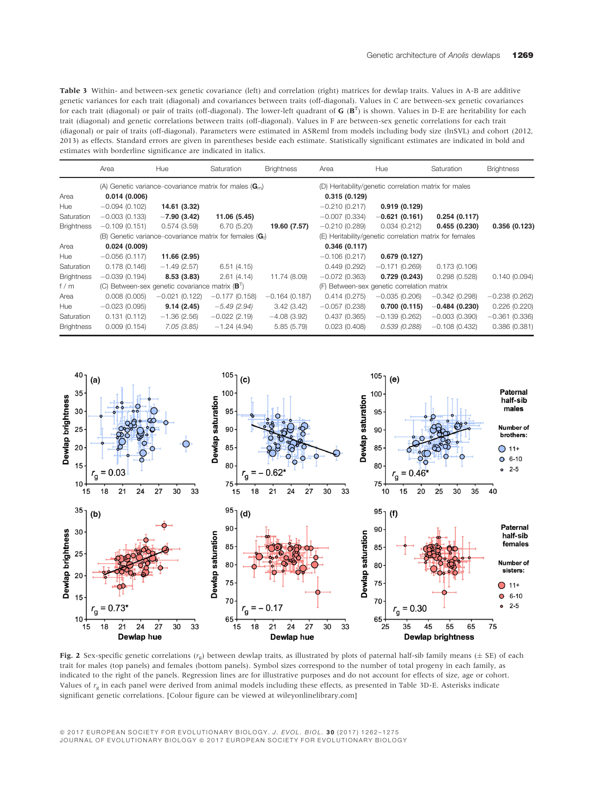Table 3 Within- and between-sex genetic covariance (left) and correlation (right) matrices for dewlap traits. Values in A-B are additive genetic variances for each trait (diagonal) and covariances between traits (off-diagonal). Values in C are between-sex genetic covariances for each trait (diagonal) or pair of traits (off-diagonal). The lower-left quadrant of  $G(B^T)$  is shown. Values in D-E are heritability for each trait (diagonal) and considerations between traits (off-diagonal). Values in trait (diagonal) and genetic correlations between traits (off-diagonal). Values in F are between-sex genetic correlations for each trait (diagonal) or pair of traits (off-diagonal). Parameters were estimated in ASReml from models including body size (lnSVL) and cohort (2012, 2013) as effects. Standard errors are given in parentheses beside each estimate. Statistically significant estimates are indicated in bold and estimates with borderline significance are indicated in italics.

|                   | Area            | Hue                                                       | Saturation                                                 | <b>Brightness</b> | Area            | Hue                                                     | Saturation      | <b>Brightness</b> |
|-------------------|-----------------|-----------------------------------------------------------|------------------------------------------------------------|-------------------|-----------------|---------------------------------------------------------|-----------------|-------------------|
|                   |                 |                                                           | (A) Genetic variance–covariance matrix for males $(Gm)$    |                   |                 | (D) Heritability/genetic correlation matrix for males   |                 |                   |
| Area              | 0.014(0.006)    |                                                           |                                                            |                   | 0.315(0.129)    |                                                         |                 |                   |
| Hue               | $-0.094(0.102)$ | 14.61 (3.32)                                              |                                                            |                   | $-0.210(0.217)$ | 0.919(0.129)                                            |                 |                   |
| Saturation        | $-0.003(0.133)$ | $-7.90(3.42)$                                             | 11.06 (5.45)                                               |                   | $-0.007(0.334)$ | $-0.621(0.161)$                                         | 0.254(0.117)    |                   |
| <b>Brightness</b> | $-0.109(0.151)$ | 0.574(3.59)                                               | 6.70(5.20)                                                 | 19.60 (7.57)      | $-0.210(0.289)$ | 0.034(0.212)                                            | 0.455(0.230)    | 0.356(0.123)      |
|                   |                 |                                                           | (B) Genetic variance–covariance matrix for females $(G_f)$ |                   |                 | (E) Heritability/genetic correlation matrix for females |                 |                   |
| Area              | 0.024(0.009)    |                                                           |                                                            |                   | 0.346(0.117)    |                                                         |                 |                   |
| Hue               | $-0.056(0.117)$ | 11.66 (2.95)                                              |                                                            |                   | $-0.106(0.217)$ | 0.679(0.127)                                            |                 |                   |
| Saturation        | 0.178(0.146)    | $-1.49(2.57)$                                             | 6.51(4.15)                                                 |                   | 0.449(0.292)    | $-0.171(0.269)$                                         | 0.173(0.106)    |                   |
| <b>Brightness</b> | $-0.039(0.194)$ | 8.53(3.83)                                                | 2.61(4.14)                                                 | 11.74 (8.09)      | $-0.072(0.363)$ | 0.729(0.243)                                            | 0.298(0.528)    | 0.140(0.094)      |
| f/m               |                 | (C) Between-sex genetic covariance matrix $(B^{\dagger})$ |                                                            |                   |                 | (F) Between-sex genetic correlation matrix              |                 |                   |
| Area              | 0.008(0.005)    | $-0.021(0.122)$                                           | $-0.177(0.158)$                                            | $-0.164(0.187)$   | 0.414(0.275)    | $-0.035(0.206)$                                         | $-0.342(0.298)$ | $-0.238(0.262)$   |
| Hue               | $-0.023(0.095)$ | 9.14(2.45)                                                | $-5.49(2.94)$                                              | 3.42(3.42)        | $-0.057(0.238)$ | 0.700(0.115)                                            | $-0.484(0.230)$ | 0.226(0.220)      |
| Saturation        | 0.131(0.112)    | $-1.36(2.56)$                                             | $-0.022(2.19)$                                             | $-4.08(3.92)$     | 0.437(0.365)    | $-0.139(0.262)$                                         | $-0.003(0.390)$ | $-0.361(0.336)$   |
| <b>Brightness</b> | 0.009(0.154)    | 7.05(3.85)                                                | $-1.24(4.94)$                                              | 5.85(5.79)        | 0.023(0.408)    | 0.539(0.288)                                            | $-0.108(0.432)$ | 0.386(0.381)      |



Fig. 2 Sex-specific genetic correlations  $(r<sub>g</sub>)$  between dewlap traits, as illustrated by plots of paternal half-sib family means ( $\pm$  SE) of each trait for males (top panels) and females (bottom panels). Symbol sizes correspond to the number of total progeny in each family, as indicated to the right of the panels. Regression lines are for illustrative purposes and do not account for effects of size, age or cohort. Values of  $r<sub>e</sub>$  in each panel were derived from animal models including these effects, as presented in Table 3D-E. Asterisks indicate significant genetic correlations. [Colour figure can be viewed at wileyonlinelibrary.com]

© 2017 EUROPEAN SOCIETY FOR EVOLUTIONARY BIOLOGY. J. EVOL. BIOL. 30 (2017) 1262-1275 JOURNAL OF EVOLUTIONARY BIOLOGY @ 2017 EUROPEAN SOCIETY FOR EVOLUTIONARY BIOLOGY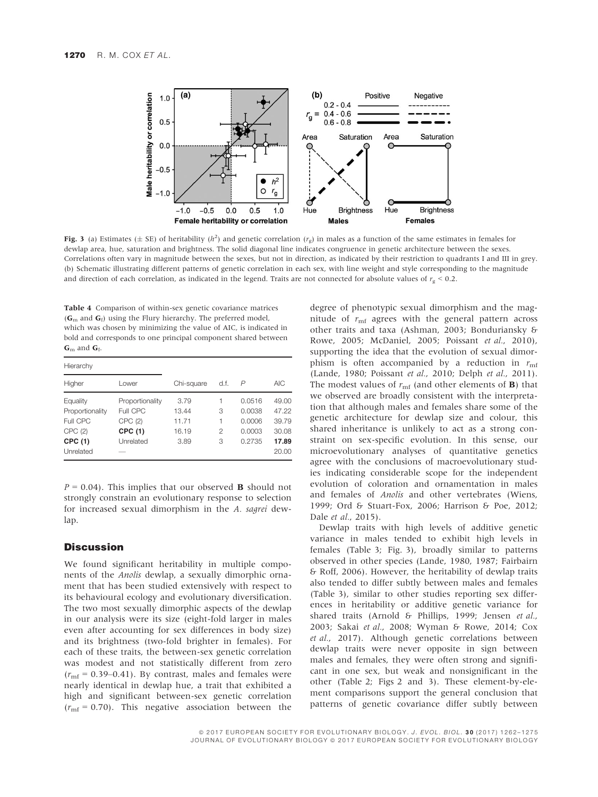

**Fig. 3** (a) Estimates ( $\pm$  SE) of heritability ( $h^2$ ) and genetic correlation ( $r_g$ ) in males as a function of the same estimates in females for developing a property and the same estimates in females for dewlap area, hue, saturation and brightness. The solid diagonal line indicates congruence in genetic architecture between the sexes. Correlations often vary in magnitude between the sexes, but not in direction, as indicated by their restriction to quadrants I and III in grey. (b) Schematic illustrating different patterns of genetic correlation in each sex, with line weight and style corresponding to the magnitude and direction of each correlation, as indicated in the legend. Traits are not connected for absolute values of  $r_g < 0.2$ .

Table 4 Comparison of within-sex genetic covariance matrices  $(G<sub>m</sub>$  and  $G<sub>f</sub>$ ) using the Flury hierarchy. The preferred model, which was chosen by minimizing the value of AIC, is indicated in bold and corresponds to one principal component shared between  $G<sub>m</sub>$  and  $G<sub>f</sub>$ .

| Hierarchy                                                   |                                                               |                                         |                       |                                                |                                           |
|-------------------------------------------------------------|---------------------------------------------------------------|-----------------------------------------|-----------------------|------------------------------------------------|-------------------------------------------|
| Higher                                                      | Lower                                                         | Chi-square                              | d.f.                  | P                                              | AIC <sub></sub>                           |
| Equality<br>Proportionality<br>Full CPC<br>CPC(2)<br>CPC(1) | Proportionality<br>Full CPC<br>CPC(2)<br>CPC (1)<br>Unrelated | 3.79<br>13.44<br>11.71<br>16.19<br>3.89 | 1<br>3<br>1<br>2<br>3 | 0.0516<br>0.0038<br>0.0006<br>0.0003<br>0.2735 | 49.00<br>47.22<br>39.79<br>30.08<br>17.89 |
| Unrelated                                                   |                                                               |                                         |                       |                                                | 20.00                                     |

 $P = 0.04$ ). This implies that our observed **B** should not strongly constrain an evolutionary response to selection for increased sexual dimorphism in the A. sagrei dewlap.

# **Discussion**

We found significant heritability in multiple components of the Anolis dewlap, a sexually dimorphic ornament that has been studied extensively with respect to its behavioural ecology and evolutionary diversification. The two most sexually dimorphic aspects of the dewlap in our analysis were its size (eight-fold larger in males even after accounting for sex differences in body size) and its brightness (two-fold brighter in females). For each of these traits, the between-sex genetic correlation was modest and not statistically different from zero  $(r_{\rm mf} = 0.39{\text -}0.41)$ . By contrast, males and females were nearly identical in dewlap hue, a trait that exhibited a high and significant between-sex genetic correlation  $(r<sub>mf</sub> = 0.70)$ . This negative association between the

degree of phenotypic sexual dimorphism and the magnitude of  $r_{\rm mf}$  agrees with the general pattern across other traits and taxa (Ashman, 2003; Bonduriansky & Rowe, 2005; McDaniel, 2005; Poissant et al., 2010), supporting the idea that the evolution of sexual dimorphism is often accompanied by a reduction in  $r_{\text{mf}}$ (Lande, 1980; Poissant et al., 2010; Delph et al., 2011). The modest values of  $r_{\rm mf}$  (and other elements of **B**) that we observed are broadly consistent with the interpretation that although males and females share some of the genetic architecture for dewlap size and colour, this shared inheritance is unlikely to act as a strong constraint on sex-specific evolution. In this sense, our microevolutionary analyses of quantitative genetics agree with the conclusions of macroevolutionary studies indicating considerable scope for the independent evolution of coloration and ornamentation in males and females of Anolis and other vertebrates (Wiens, 1999; Ord & Stuart-Fox, 2006; Harrison & Poe, 2012; Dale et al., 2015).

Dewlap traits with high levels of additive genetic variance in males tended to exhibit high levels in females (Table 3; Fig. 3), broadly similar to patterns observed in other species (Lande, 1980, 1987; Fairbairn & Roff, 2006). However, the heritability of dewlap traits also tended to differ subtly between males and females (Table 3), similar to other studies reporting sex differences in heritability or additive genetic variance for shared traits (Arnold & Phillips, 1999; Jensen et al., 2003; Sakai et al., 2008; Wyman & Rowe, 2014; Cox et al., 2017). Although genetic correlations between dewlap traits were never opposite in sign between males and females, they were often strong and significant in one sex, but weak and nonsignificant in the other (Table 2; Figs 2 and 3). These element-by-element comparisons support the general conclusion that patterns of genetic covariance differ subtly between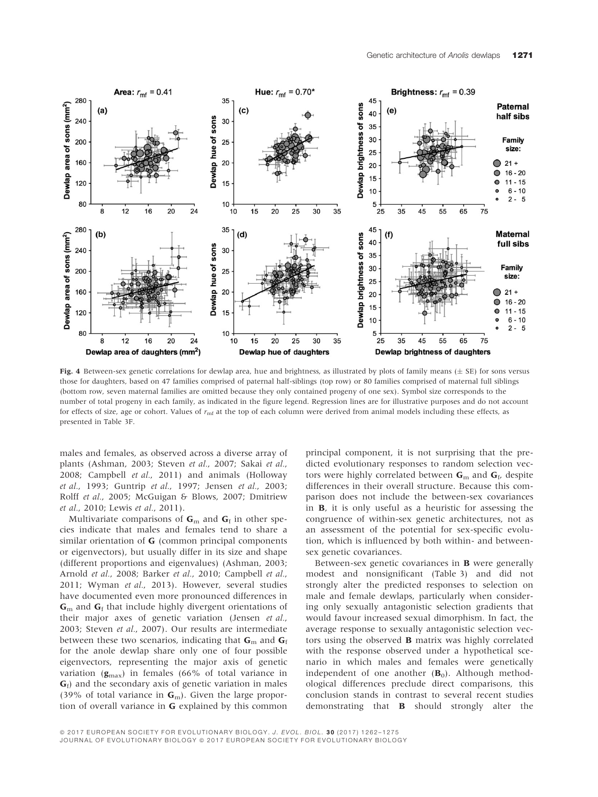

Fig. 4 Between-sex genetic correlations for dewlap area, hue and brightness, as illustrated by plots of family means  $(\pm$  SE) for sons versus those for daughters, based on 47 families comprised of paternal half-siblings (top row) or 80 families comprised of maternal full siblings (bottom row, seven maternal families are omitted because they only contained progeny of one sex). Symbol size corresponds to the number of total progeny in each family, as indicated in the figure legend. Regression lines are for illustrative purposes and do not account for effects of size, age or cohort. Values of  $r_{\rm mf}$  at the top of each column were derived from animal models including these effects, as presented in Table 3F.

males and females, as observed across a diverse array of plants (Ashman, 2003; Steven et al., 2007; Sakai et al., 2008; Campbell et al., 2011) and animals (Holloway et al., 1993; Guntrip et al., 1997; Jensen et al., 2003; Rolff et al., 2005; McGuigan & Blows, 2007; Dmitriew et al., 2010; Lewis et al., 2011).

Multivariate comparisons of  $G<sub>m</sub>$  and  $G<sub>f</sub>$  in other species indicate that males and females tend to share a similar orientation of G (common principal components or eigenvectors), but usually differ in its size and shape (different proportions and eigenvalues) (Ashman, 2003; Arnold et al., 2008; Barker et al., 2010; Campbell et al., 2011; Wyman et al., 2013). However, several studies have documented even more pronounced differences in  $G<sub>m</sub>$  and  $G<sub>f</sub>$  that include highly divergent orientations of their major axes of genetic variation (Jensen et al., 2003; Steven et al., 2007). Our results are intermediate between these two scenarios, indicating that  $G<sub>m</sub>$  and  $G<sub>f</sub>$ for the anole dewlap share only one of four possible eigenvectors, representing the major axis of genetic variation  $(g_{\text{max}})$  in females (66% of total variance in  $G_f$ ) and the secondary axis of genetic variation in males (39% of total variance in  $G<sub>m</sub>$ ). Given the large proportion of overall variance in G explained by this common principal component, it is not surprising that the predicted evolutionary responses to random selection vectors were highly correlated between  $G<sub>m</sub>$  and  $G<sub>f</sub>$ , despite differences in their overall structure. Because this comparison does not include the between-sex covariances in B, it is only useful as a heuristic for assessing the congruence of within-sex genetic architectures, not as an assessment of the potential for sex-specific evolution, which is influenced by both within- and betweensex genetic covariances.

Between-sex genetic covariances in B were generally modest and nonsignificant (Table 3) and did not strongly alter the predicted responses to selection on male and female dewlaps, particularly when considering only sexually antagonistic selection gradients that would favour increased sexual dimorphism. In fact, the average response to sexually antagonistic selection vectors using the observed B matrix was highly correlated with the response observed under a hypothetical scenario in which males and females were genetically independent of one another  $(B_0)$ . Although methodological differences preclude direct comparisons, this conclusion stands in contrast to several recent studies demonstrating that B should strongly alter the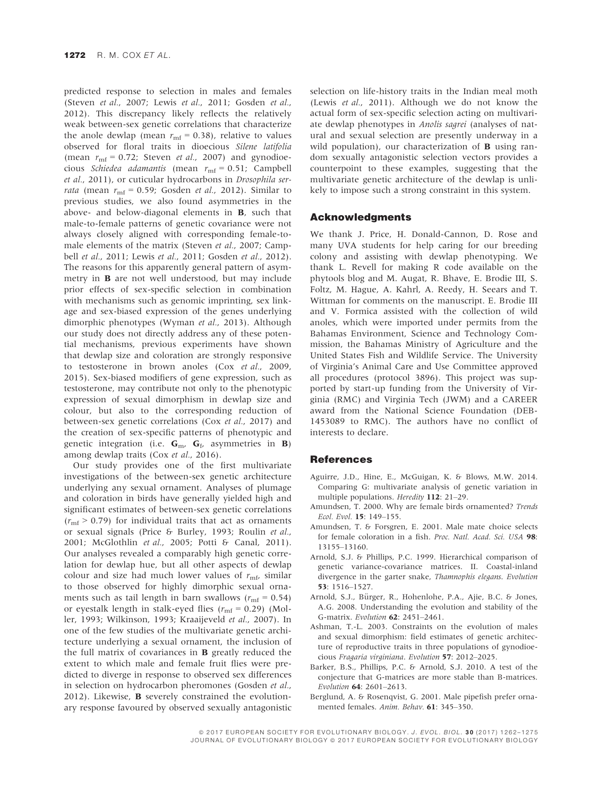predicted response to selection in males and females (Steven et al., 2007; Lewis et al., 2011; Gosden et al., 2012). This discrepancy likely reflects the relatively weak between-sex genetic correlations that characterize the anole dewlap (mean  $r_{\rm mf}$  = 0.38), relative to values observed for floral traits in dioecious Silene latifolia (mean  $r_{\text{mf}} = 0.72$ ; Steven *et al.*, 2007) and gynodioecious Schiedea adamantis (mean  $r_{\text{mf}} = 0.51$ ; Campbell et al., 2011), or cuticular hydrocarbons in Drosophila serrata (mean  $r_{\rm mf}$  = 0.59; Gosden *et al.*, 2012). Similar to previous studies, we also found asymmetries in the above- and below-diagonal elements in B, such that male-to-female patterns of genetic covariance were not always closely aligned with corresponding female-tomale elements of the matrix (Steven et al., 2007; Campbell *et al.*, 2011; Lewis *et al.*, 2011; Gosden *et al.*, 2012). The reasons for this apparently general pattern of asymmetry in B are not well understood, but may include prior effects of sex-specific selection in combination with mechanisms such as genomic imprinting, sex linkage and sex-biased expression of the genes underlying dimorphic phenotypes (Wyman et al., 2013). Although our study does not directly address any of these potential mechanisms, previous experiments have shown that dewlap size and coloration are strongly responsive to testosterone in brown anoles (Cox et al., 2009, 2015). Sex-biased modifiers of gene expression, such as testosterone, may contribute not only to the phenotypic expression of sexual dimorphism in dewlap size and colour, but also to the corresponding reduction of between-sex genetic correlations (Cox et al., 2017) and the creation of sex-specific patterns of phenotypic and genetic integration (i.e.  $G_{\text{m}}$ ,  $G_f$ , asymmetries in **B**) among dewlap traits (Cox et al., 2016).

Our study provides one of the first multivariate investigations of the between-sex genetic architecture underlying any sexual ornament. Analyses of plumage and coloration in birds have generally yielded high and significant estimates of between-sex genetic correlations  $(r_{\rm mf} > 0.79)$  for individual traits that act as ornaments or sexual signals (Price & Burley, 1993; Roulin et al., 2001; McGlothlin et al., 2005; Potti & Canal, 2011). Our analyses revealed a comparably high genetic correlation for dewlap hue, but all other aspects of dewlap colour and size had much lower values of  $r_{\rm mf}$ , similar to those observed for highly dimorphic sexual ornaments such as tail length in barn swallows ( $r_{\rm mf}$  = 0.54) or eyestalk length in stalk-eyed flies ( $r_{\rm mf}$  = 0.29) (Moller, 1993; Wilkinson, 1993; Kraaijeveld et al., 2007). In one of the few studies of the multivariate genetic architecture underlying a sexual ornament, the inclusion of the full matrix of covariances in B greatly reduced the extent to which male and female fruit flies were predicted to diverge in response to observed sex differences in selection on hydrocarbon pheromones (Gosden et al., 2012). Likewise, B severely constrained the evolutionary response favoured by observed sexually antagonistic selection on life-history traits in the Indian meal moth (Lewis et al., 2011). Although we do not know the actual form of sex-specific selection acting on multivariate dewlap phenotypes in Anolis sagrei (analyses of natural and sexual selection are presently underway in a wild population), our characterization of  **using ran**dom sexually antagonistic selection vectors provides a counterpoint to these examples, suggesting that the multivariate genetic architecture of the dewlap is unlikely to impose such a strong constraint in this system.

## Acknowledgments

We thank J. Price, H. Donald-Cannon, D. Rose and many UVA students for help caring for our breeding colony and assisting with dewlap phenotyping. We thank L. Revell for making R code available on the phytools blog and M. Augat, R. Bhave, E. Brodie III, S. Foltz, M. Hague, A. Kahrl, A. Reedy, H. Seears and T. Wittman for comments on the manuscript. E. Brodie III and V. Formica assisted with the collection of wild anoles, which were imported under permits from the Bahamas Environment, Science and Technology Commission, the Bahamas Ministry of Agriculture and the United States Fish and Wildlife Service. The University of Virginia's Animal Care and Use Committee approved all procedures (protocol 3896). This project was supported by start-up funding from the University of Virginia (RMC) and Virginia Tech (JWM) and a CAREER award from the National Science Foundation (DEB-1453089 to RMC). The authors have no conflict of interests to declare.

## **References**

- Aguirre, J.D., Hine, E., McGuigan, K. & Blows, M.W. 2014. Comparing G: multivariate analysis of genetic variation in multiple populations. Heredity 112: 21–29.
- Amundsen, T. 2000. Why are female birds ornamented? Trends Ecol. Evol. 15: 149–155.
- Amundsen, T. & Forsgren, E. 2001. Male mate choice selects for female coloration in a fish. Proc. Natl. Acad. Sci. USA 98: 13155–13160.
- Arnold, S.J. & Phillips, P.C. 1999. Hierarchical comparison of genetic variance-covariance matrices. II. Coastal-inland divergence in the garter snake, Thamnophis elegans. Evolution 53: 1516–1527.
- Arnold, S.J., Bürger, R., Hohenlohe, P.A., Ajie, B.C. & Jones, A.G. 2008. Understanding the evolution and stability of the G-matrix. Evolution 62: 2451–2461.
- Ashman, T.-L. 2003. Constraints on the evolution of males and sexual dimorphism: field estimates of genetic architecture of reproductive traits in three populations of gynodioecious Fragaria virginiana. Evolution 57: 2012–2025.
- Barker, B.S., Phillips, P.C. & Arnold, S.J. 2010. A test of the conjecture that G-matrices are more stable than B-matrices. Evolution 64: 2601–2613.
- Berglund, A. & Rosenqvist, G. 2001. Male pipefish prefer ornamented females. Anim. Behav. 61: 345–350.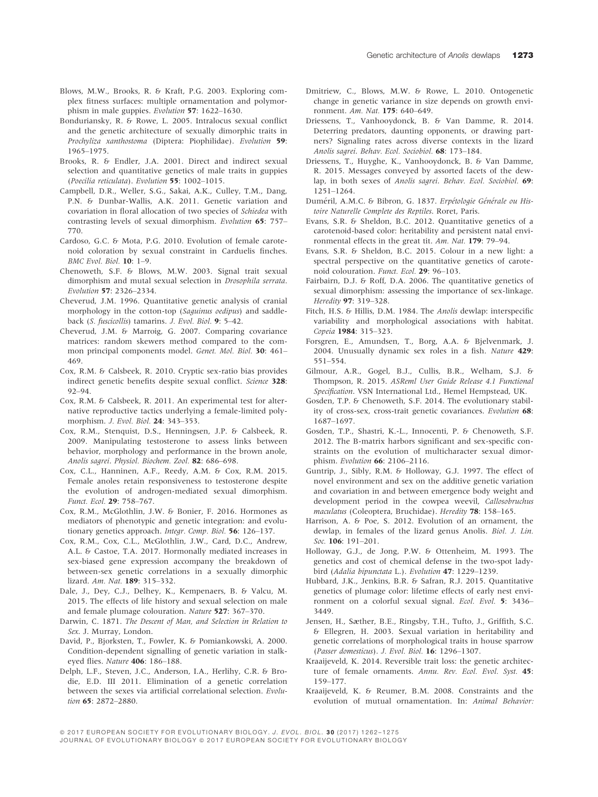- Blows, M.W., Brooks, R. & Kraft, P.G. 2003. Exploring complex fitness surfaces: multiple ornamentation and polymorphism in male guppies. Evolution 57: 1622-1630.
- Bonduriansky, R. & Rowe, L. 2005. Intralocus sexual conflict and the genetic architecture of sexually dimorphic traits in Prochyliza xanthostoma (Diptera: Piophilidae). Evolution 59: 1965–1975.
- Brooks, R. & Endler, J.A. 2001. Direct and indirect sexual selection and quantitative genetics of male traits in guppies (Poecilia reticulata). Evolution 55: 1002–1015.
- Campbell, D.R., Weller, S.G., Sakai, A.K., Culley, T.M., Dang, P.N. & Dunbar-Wallis, A.K. 2011. Genetic variation and covariation in floral allocation of two species of Schiedea with contrasting levels of sexual dimorphism. Evolution 65: 757– 770.
- Cardoso, G.C. & Mota, P.G. 2010. Evolution of female carotenoid coloration by sexual constraint in Carduelis finches. BMC Evol. Biol. 10: 1–9.
- Chenoweth, S.F. & Blows, M.W. 2003. Signal trait sexual dimorphism and mutal sexual selection in Drosophila serrata. Evolution 57: 2326–2334.
- Cheverud, J.M. 1996. Quantitative genetic analysis of cranial morphology in the cotton-top (Saquinus oedipus) and saddleback (S. fuscicollis) tamarins. J. Evol. Biol. 9: 5–42.
- Cheverud, J.M. & Marroig, G. 2007. Comparing covariance matrices: random skewers method compared to the common principal components model. Genet. Mol. Biol. 30: 461– 469.
- Cox, R.M. & Calsbeek, R. 2010. Cryptic sex-ratio bias provides indirect genetic benefits despite sexual conflict. Science 328: 92–94.
- Cox, R.M. & Calsbeek, R. 2011. An experimental test for alternative reproductive tactics underlying a female-limited polymorphism. J. Evol. Biol. 24: 343–353.
- Cox, R.M., Stenquist, D.S., Henningsen, J.P. & Calsbeek, R. 2009. Manipulating testosterone to assess links between behavior, morphology and performance in the brown anole, Anolis sagrei. Physiol. Biochem. Zool. 82: 686–698.
- Cox, C.L., Hanninen, A.F., Reedy, A.M. & Cox, R.M. 2015. Female anoles retain responsiveness to testosterone despite the evolution of androgen-mediated sexual dimorphism. Funct. Ecol. <sup>29</sup>: 758–767.
- Cox, R.M., McGlothlin, J.W. & Bonier, F. 2016. Hormones as mediators of phenotypic and genetic integration: and evolutionary genetics approach. Integr. Comp. Biol. 56: 126-137.
- Cox, R.M., Cox, C.L., McGlothlin, J.W., Card, D.C., Andrew, A.L. & Castoe, T.A. 2017. Hormonally mediated increases in sex-biased gene expression accompany the breakdown of between-sex genetic correlations in a sexually dimorphic lizard. Am. Nat. 189: 315–332.
- Dale, J., Dey, C.J., Delhey, K., Kempenaers, B. & Valcu, M. 2015. The effects of life history and sexual selection on male and female plumage colouration. Nature 527: 367–370.
- Darwin, C. 1871. The Descent of Man, and Selection in Relation to Sex. J. Murray, London.
- David, P., Bjorksten, T., Fowler, K. & Pomiankowski, A. 2000. Condition-dependent signalling of genetic variation in stalkeyed flies. Nature 406: 186–188.
- Delph, L.F., Steven, J.C., Anderson, I.A., Herlihy, C.R. & Brodie, E.D. III 2011. Elimination of a genetic correlation between the sexes via artificial correlational selection. Evolution 65: 2872–2880.
- Dmitriew, C., Blows, M.W. & Rowe, L. 2010. Ontogenetic change in genetic variance in size depends on growth environment. Am. Nat. 175: 640–649.
- Driessens, T., Vanhooydonck, B. & Van Damme, R. 2014. Deterring predators, daunting opponents, or drawing partners? Signaling rates across diverse contexts in the lizard Anolis sagrei. Behav. Ecol. Sociobiol. 68: 173–184.
- Driessens, T., Huyghe, K., Vanhooydonck, B. & Van Damme, R. 2015. Messages conveyed by assorted facets of the dewlap, in both sexes of Anolis sagrei. Behav. Ecol. Sociobiol. 69: 1251–1264.
- Duméril, A.M.C. & Bibron, G. 1837. Erpétologie Générale ou Histoire Naturelle Complete des Reptiles. Roret, Paris.
- Evans, S.R. & Sheldon, B.C. 2012. Quantitative genetics of a carotenoid-based color: heritability and persistent natal environmental effects in the great tit. Am. Nat. 179: 79–94.
- Evans, S.R. & Sheldon, B.C. 2015. Colour in a new light: a spectral perspective on the quantitative genetics of carotenoid colouration. Funct. Ecol. 29: 96–103.
- Fairbairn, D.J. & Roff, D.A. 2006. The quantitative genetics of sexual dimorphism: assessing the importance of sex-linkage. Heredity 97: 319–328.
- Fitch, H.S. & Hillis, D.M. 1984. The Anolis dewlap: interspecific variability and morphological associations with habitat. Copeia 1984: 315–323.
- Forsgren, E., Amundsen, T., Borg, A.A. & Bjelvenmark, J. 2004. Unusually dynamic sex roles in a fish. Nature 429: 551–554.
- Gilmour, A.R., Gogel, B.J., Cullis, B.R., Welham, S.J. & Thompson, R. 2015. ASReml User Guide Release 4.1 Functional Specification. VSN International Ltd., Hemel Hempstead, UK.
- Gosden, T.P. & Chenoweth, S.F. 2014. The evolutionary stability of cross-sex, cross-trait genetic covariances. Evolution 68: 1687–1697.
- Gosden, T.P., Shastri, K.-L., Innocenti, P. & Chenoweth, S.F. 2012. The B-matrix harbors significant and sex-specific constraints on the evolution of multicharacter sexual dimorphism. Evolution 66: 2106–2116.
- Guntrip, J., Sibly, R.M. & Holloway, G.J. 1997. The effect of novel environment and sex on the additive genetic variation and covariation in and between emergence body weight and development period in the cowpea weevil, Callosobruchus maculatus (Coleoptera, Bruchidae). Heredity 78: 158-165.
- Harrison, A. & Poe, S. 2012. Evolution of an ornament, the dewlap, in females of the lizard genus Anolis. Biol. J. Lin. Soc. 106: 191-201.
- Holloway, G.J., de Jong, P.W. & Ottenheim, M. 1993. The genetics and cost of chemical defense in the two-spot ladybird (Adalia bipunctata L.). Evolution 47: 1229–1239.
- Hubbard, J.K., Jenkins, B.R. & Safran, R.J. 2015. Quantitative genetics of plumage color: lifetime effects of early nest environment on a colorful sexual signal. Ecol. Evol. 5: 3436– 3449.
- Jensen, H., Sæther, B.E., Ringsby, T.H., Tufto, J., Griffith, S.C. & Ellegren, H. 2003. Sexual variation in heritability and genetic correlations of morphological traits in house sparrow (Passer domesticus). J. Evol. Biol. 16: 1296–1307.
- Kraaijeveld, K. 2014. Reversible trait loss: the genetic architecture of female ornaments. Annu. Rev. Ecol. Evol. Syst. 45: 159–177.
- Kraaijeveld, K. & Reumer, B.M. 2008. Constraints and the evolution of mutual ornamentation. In: Animal Behavior: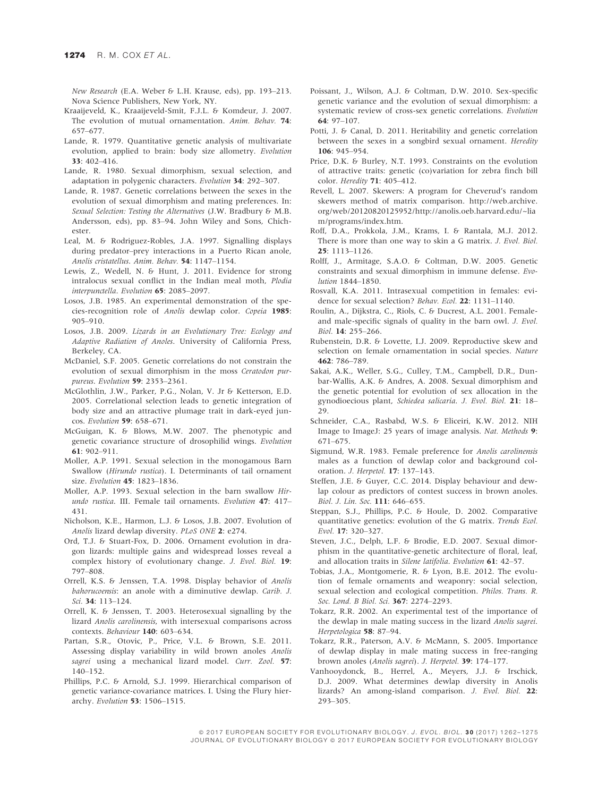New Research (E.A. Weber & L.H. Krause, eds), pp. 193–213. Nova Science Publishers, New York, NY.

- Kraaijeveld, K., Kraaijeveld-Smit, F.J.L. & Komdeur, J. 2007. The evolution of mutual ornamentation. Anim. Behav. 74: 657–677.
- Lande, R. 1979. Quantitative genetic analysis of multivariate evolution, applied to brain: body size allometry. Evolution 33: 402–416.
- Lande, R. 1980. Sexual dimorphism, sexual selection, and adaptation in polygenic characters. Evolution 34: 292–307.
- Lande, R. 1987. Genetic correlations between the sexes in the evolution of sexual dimorphism and mating preferences. In: Sexual Selection: Testing the Alternatives (J.W. Bradbury & M.B. Andersson, eds), pp. 83–94. John Wiley and Sons, Chichester.
- Leal, M. & Rodriguez-Robles, J.A. 1997. Signalling displays during predator–prey interactions in a Puerto Rican anole, Anolis cristatellus. Anim. Behav. 54: 1147–1154.
- Lewis, Z., Wedell, N. & Hunt, J. 2011. Evidence for strong intralocus sexual conflict in the Indian meal moth, Plodia interpunctella. Evolution 65: 2085–2097.
- Losos, J.B. 1985. An experimental demonstration of the species-recognition role of Anolis dewlap color. Copeia 1985: 905–910.
- Losos, J.B. 2009. Lizards in an Evolutionary Tree: Ecology and Adaptive Radiation of Anoles. University of California Press, Berkeley, CA.
- McDaniel, S.F. 2005. Genetic correlations do not constrain the evolution of sexual dimorphism in the moss Ceratodon purpureus. Evolution 59: 2353–2361.
- McGlothlin, J.W., Parker, P.G., Nolan, V. Jr & Ketterson, E.D. 2005. Correlational selection leads to genetic integration of body size and an attractive plumage trait in dark-eyed juncos. Evolution 59: 658–671.
- McGuigan, K. & Blows, M.W. 2007. The phenotypic and genetic covariance structure of drosophilid wings. Evolution 61: 902–911.
- Moller, A.P. 1991. Sexual selection in the monogamous Barn Swallow (Hirundo rustica). I. Determinants of tail ornament size. Evolution **45**: 1823-1836.
- Moller, A.P. 1993. Sexual selection in the barn swallow Hirundo rustica. III. Female tail ornaments. Evolution 47: 417– 431.
- Nicholson, K.E., Harmon, L.J. & Losos, J.B. 2007. Evolution of Anolis lizard dewlap diversity. PLoS ONE 2: e274.
- Ord, T.J. & Stuart-Fox, D. 2006. Ornament evolution in dragon lizards: multiple gains and widespread losses reveal a complex history of evolutionary change. J. Evol. Biol. 19: 797–808.
- Orrell, K.S. & Jenssen, T.A. 1998. Display behavior of Anolis bahorucoensis: an anole with a diminutive dewlap. Carib. J.
- Sci. 34: 113–124.<br>Orrell, K. & Jenssen, T. 2003. Heterosexual signalling by the lizard Anolis carolinensis, with intersexual comparisons across contexts. Behaviour 140: 603–634.
- Partan, S.R., Otovic, P., Price, V.L. & Brown, S.E. 2011. Assessing display variability in wild brown anoles Anolis sagrei using a mechanical lizard model. Curr. Zool. 57: 140–152.
- Phillips, P.C. & Arnold, S.J. 1999. Hierarchical comparison of genetic variance-covariance matrices. I. Using the Flury hierarchy. Evolution 53: 1506–1515.
- Poissant, J., Wilson, A.J. & Coltman, D.W. 2010. Sex-specific genetic variance and the evolution of sexual dimorphism: a systematic review of cross-sex genetic correlations. Evolution  $64.97 - 107$
- Potti, J. & Canal, D. 2011. Heritability and genetic correlation between the sexes in a songbird sexual ornament. Heredity 106: 945–954.
- Price, D.K. & Burley, N.T. 1993. Constraints on the evolution of attractive traits: genetic (co)variation for zebra finch bill color. Heredity 71: 405–412.
- Revell, L. 2007. Skewers: A program for Cheverud's random skewers method of matrix comparison[. http://web.archive.](. http://web.archive.org/web/20120820125952/http://anolis.oeb.harvard.edu/~liam/programs/index.htm) [org/web/20120820125952/http://anolis.oeb.harvard.edu/~lia](. http://web.archive.org/web/20120820125952/http://anolis.oeb.harvard.edu/~liam/programs/index.htm) [m/programs/index.htm.](. http://web.archive.org/web/20120820125952/http://anolis.oeb.harvard.edu/~liam/programs/index.htm)
- Roff, D.A., Prokkola, J.M., Krams, I. & Rantala, M.J. 2012. There is more than one way to skin a G matrix. J. Evol. Biol.
- 25: 1113–1126. Rolff, J., Armitage, S.A.O. & Coltman, D.W. 2005. Genetic constraints and sexual dimorphism in immune defense. Evolution 1844–1850.
- Rosvall, K.A. 2011. Intrasexual competition in females: evidence for sexual selection? Behav. Ecol. 22: 1131-1140.
- Roulin, A., Dijkstra, C., Riols, C. & Ducrest, A.L. 2001. Femaleand male-specific signals of quality in the barn owl. J. Evol. Biol. 14: 255–266.
- Rubenstein, D.R. & Lovette, I.J. 2009. Reproductive skew and selection on female ornamentation in social species. Nature 462: 786–789.
- Sakai, A.K., Weller, S.G., Culley, T.M., Campbell, D.R., Dunbar-Wallis, A.K. & Andres, A. 2008. Sexual dimorphism and the genetic potential for evolution of sex allocation in the gynodioecious plant, Schiedea salicaria. J. Evol. Biol. 21: 18– 29.
- Schneider, C.A., Rasbabd, W.S. & Eliceiri, K.W. 2012. NIH Image to ImageJ: 25 years of image analysis. Nat. Methods 9: 671–675.
- Sigmund, W.R. 1983. Female preference for Anolis carolinensis males as a function of dewlap color and background coloration. J. Herpetol. 17: 137–143.
- Steffen, J.E. & Guyer, C.C. 2014. Display behaviour and dewlap colour as predictors of contest success in brown anoles. Biol. J. Lin. Soc. 111: 646–655.
- Steppan, S.J., Phillips, P.C. & Houle, D. 2002. Comparative quantitative genetics: evolution of the G matrix. Trends Ecol. Evol. 17: 320–327.
- Steven, J.C., Delph, L.F. & Brodie, E.D. 2007. Sexual dimorphism in the quantitative-genetic architecture of floral, leaf, and allocation traits in Silene latifolia. Evolution 61: 42–57.
- Tobias, J.A., Montgomerie, R. & Lyon, B.E. 2012. The evolution of female ornaments and weaponry: social selection, sexual selection and ecological competition. Philos. Trans. R. Soc. Lond. B Biol. Sci. 367: 2274-2293.
- Tokarz, R.R. 2002. An experimental test of the importance of the dewlap in male mating success in the lizard Anolis sagrei. Herpetologica 58: 87-94.
- Tokarz, R.R., Paterson, A.V. & McMann, S. 2005. Importance of dewlap display in male mating success in free-ranging brown anoles (Anolis sagrei). J. Herpetol. 39: 174–177.
- Vanhooydonck, B., Herrel, A., Meyers, J.J. & Irschick, D.J. 2009. What determines dewlap diversity in Anolis lizards? An among-island comparison. J. Evol. Biol. 22: 293–305.